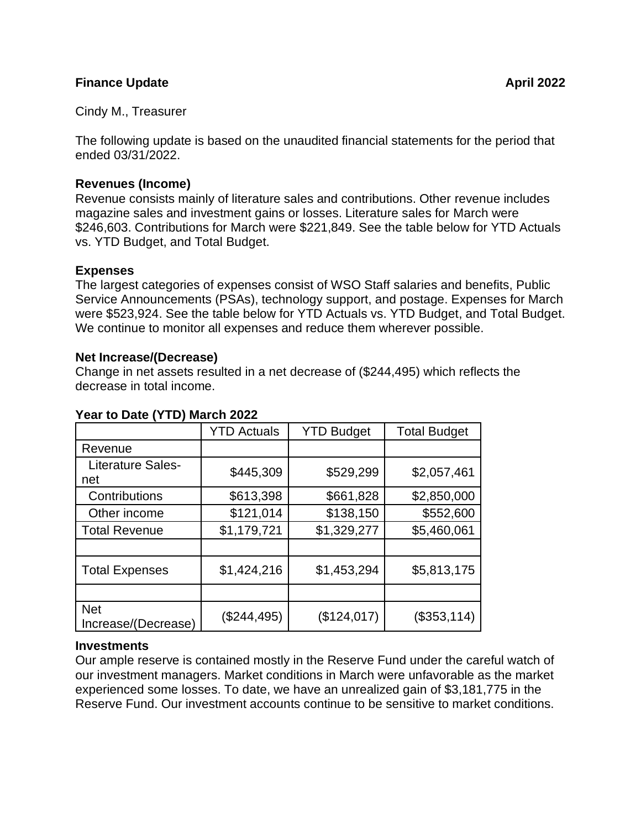#### **Finance Update April 2022**

Cindy M., Treasurer

The following update is based on the unaudited financial statements for the period that ended 03/31/2022.

#### **Revenues (Income)**

Revenue consists mainly of literature sales and contributions. Other revenue includes magazine sales and investment gains or losses. Literature sales for March were \$246,603. Contributions for March were \$221,849. See the table below for YTD Actuals vs. YTD Budget, and Total Budget.

## **Expenses**

The largest categories of expenses consist of WSO Staff salaries and benefits, Public Service Announcements (PSAs), technology support, and postage. Expenses for March were \$523,924. See the table below for YTD Actuals vs. YTD Budget, and Total Budget. We continue to monitor all expenses and reduce them wherever possible.

## **Net Increase/(Decrease)**

Change in net assets resulted in a net decrease of (\$244,495) which reflects the decrease in total income.

| $\frac{1}{2}$ and $\frac{1}{2}$ and $\frac{1}{2}$ and $\frac{1}{2}$ and $\frac{1}{2}$ |                    |                   |                     |
|---------------------------------------------------------------------------------------|--------------------|-------------------|---------------------|
|                                                                                       | <b>YTD Actuals</b> | <b>YTD Budget</b> | <b>Total Budget</b> |
| Revenue                                                                               |                    |                   |                     |
| Literature Sales-<br>net                                                              | \$445,309          | \$529,299         | \$2,057,461         |
| Contributions                                                                         | \$613,398          | \$661,828         | \$2,850,000         |
| Other income                                                                          | \$121,014          | \$138,150         | \$552,600           |
| <b>Total Revenue</b>                                                                  | \$1,179,721        | \$1,329,277       | \$5,460,061         |
|                                                                                       |                    |                   |                     |
| <b>Total Expenses</b>                                                                 | \$1,424,216        | \$1,453,294       | \$5,813,175         |
|                                                                                       |                    |                   |                     |
| <b>Net</b><br>Increase/(Decrease)                                                     | $(\$244,495)$      | (\$124,017)       | (\$353,114)         |

## **Year to Date (YTD) March 2022**

# **Investments**

Our ample reserve is contained mostly in the Reserve Fund under the careful watch of our investment managers. Market conditions in March were unfavorable as the market experienced some losses. To date, we have an unrealized gain of \$3,181,775 in the Reserve Fund. Our investment accounts continue to be sensitive to market conditions.